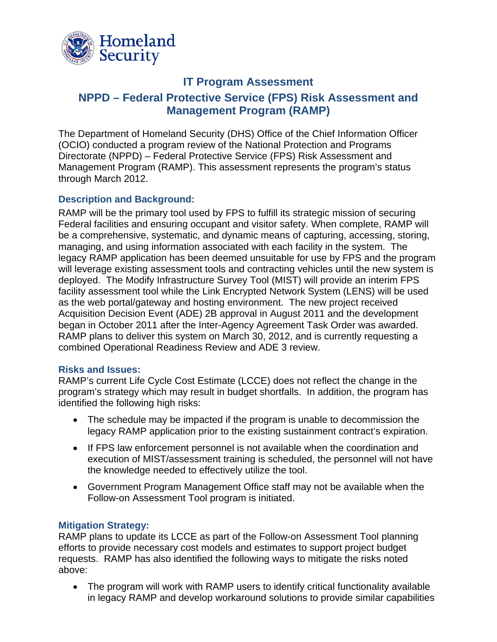

# **IT Program Assessment**

# **NPPD – Federal Protective Service (FPS) Risk Assessment and Management Program (RAMP)**

The Department of Homeland Security (DHS) Office of the Chief Information Officer (OCIO) conducted a program review of the National Protection and Programs Directorate (NPPD) – Federal Protective Service (FPS) Risk Assessment and Management Program (RAMP). This assessment represents the program's status through March 2012.

### **Description and Background:**

RAMP will be the primary tool used by FPS to fulfill its strategic mission of securing Federal facilities and ensuring occupant and visitor safety. When complete, RAMP will be a comprehensive, systematic, and dynamic means of capturing, accessing, storing, managing, and using information associated with each facility in the system. The legacy RAMP application has been deemed unsuitable for use by FPS and the program will leverage existing assessment tools and contracting vehicles until the new system is deployed. The Modify Infrastructure Survey Tool (MIST) will provide an interim FPS facility assessment tool while the Link Encrypted Network System (LENS) will be used as the web portal/gateway and hosting environment. The new project received Acquisition Decision Event (ADE) 2B approval in August 2011 and the development began in October 2011 after the Inter-Agency Agreement Task Order was awarded. RAMP plans to deliver this system on March 30, 2012, and is currently requesting a combined Operational Readiness Review and ADE 3 review.

### **Risks and Issues:**

RAMP's current Life Cycle Cost Estimate (LCCE) does not reflect the change in the program's strategy which may result in budget shortfalls. In addition, the program has identified the following high risks:

- The schedule may be impacted if the program is unable to decommission the legacy RAMP application prior to the existing sustainment contract's expiration.
- If FPS law enforcement personnel is not available when the coordination and execution of MIST/assessment training is scheduled, the personnel will not have the knowledge needed to effectively utilize the tool.
- Government Program Management Office staff may not be available when the Follow-on Assessment Tool program is initiated.

### **Mitigation Strategy:**

RAMP plans to update its LCCE as part of the Follow-on Assessment Tool planning efforts to provide necessary cost models and estimates to support project budget requests. RAMP has also identified the following ways to mitigate the risks noted above:

 The program will work with RAMP users to identify critical functionality available in legacy RAMP and develop workaround solutions to provide similar capabilities